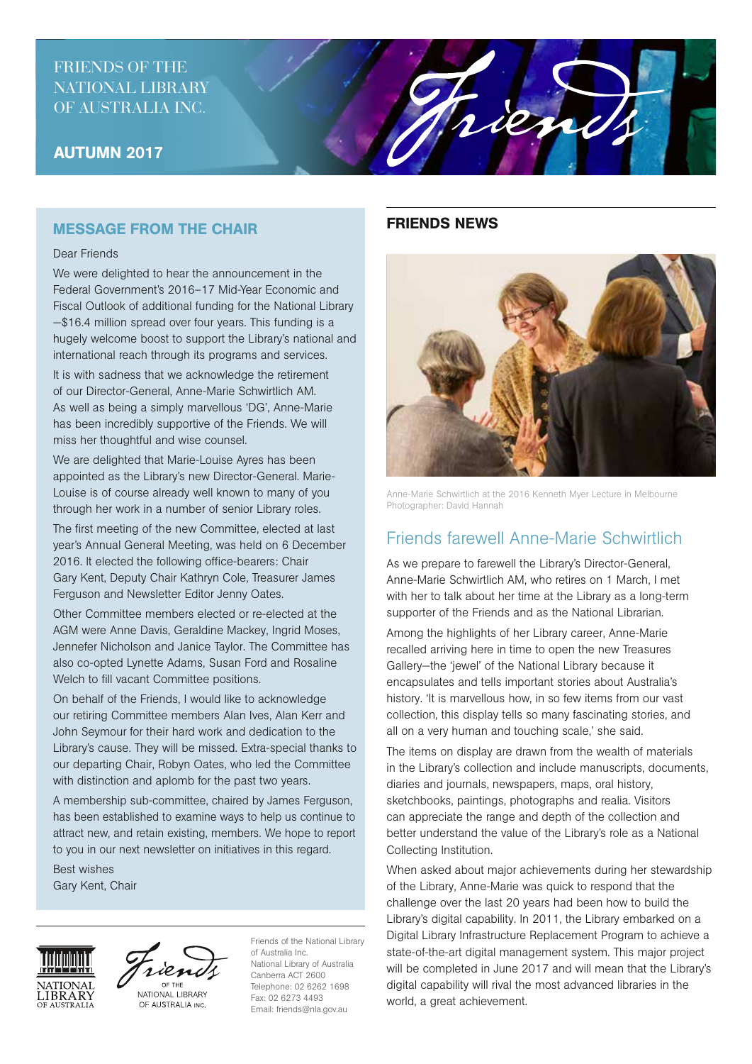## FRIENDS OF THE NATIONAL LIBRARY OF AUSTRALIA INC.

## AUTUMN 2017

### MESSAGE FROM THE CHAIR

#### Dear Friends

We were delighted to hear the announcement in the Federal Government's 2016–17 Mid-Year Economic and Fiscal Outlook of additional funding for the National Library —\$16.4 million spread over four years. This funding is a hugely welcome boost to support the Library's national and international reach through its programs and services.

It is with sadness that we acknowledge the retirement of our Director-General, Anne-Marie Schwirtlich AM. As well as being a simply marvellous 'DG', Anne-Marie has been incredibly supportive of the Friends. We will miss her thoughtful and wise counsel.

We are delighted that Marie-Louise Ayres has been appointed as the Library's new Director-General. Marie-Louise is of course already well known to many of you through her work in a number of senior Library roles.

The first meeting of the new Committee, elected at last year's Annual General Meeting, was held on 6 December 2016. It elected the following office-bearers: Chair Gary Kent, Deputy Chair Kathryn Cole, Treasurer James Ferguson and Newsletter Editor Jenny Oates.

Other Committee members elected or re-elected at the AGM were Anne Davis, Geraldine Mackey, Ingrid Moses, Jennefer Nicholson and Janice Taylor. The Committee has also co-opted Lynette Adams, Susan Ford and Rosaline Welch to fill vacant Committee positions.

On behalf of the Friends, I would like to acknowledge our retiring Committee members Alan Ives, Alan Kerr and John Seymour for their hard work and dedication to the Library's cause. They will be missed. Extra-special thanks to our departing Chair, Robyn Oates, who led the Committee with distinction and aplomb for the past two years.

A membership sub-committee, chaired by James Ferguson, has been established to examine ways to help us continue to attract new, and retain existing, members. We hope to report to you in our next newsletter on initiatives in this regard.

Best wishes Gary Kent, Chair





NATIONAL LIBRARY OF AUSTRALIA INC.

Friends of the National Library of Australia Inc. National Library of Australia Canberra ACT 2600 Telephone: 02 6262 1698 Fax: 02 6273 4493 Email: friends@nla.gov.au

#### FRIENDS NEWS



rien

Anne-Marie Schwirtlich at the 2016 Kenneth Myer Lecture in Melbourne Photographer: David Hannah

# Friends farewell Anne-Marie Schwirtlich

As we prepare to farewell the Library's Director-General, Anne-Marie Schwirtlich AM, who retires on 1 March, I met with her to talk about her time at the Library as a long-term supporter of the Friends and as the National Librarian.

Among the highlights of her Library career, Anne-Marie recalled arriving here in time to open the new Treasures Gallery—the 'jewel' of the National Library because it encapsulates and tells important stories about Australia's history. 'It is marvellous how, in so few items from our vast collection, this display tells so many fascinating stories, and all on a very human and touching scale,' she said.

The items on display are drawn from the wealth of materials in the Library's collection and include manuscripts, documents, diaries and journals, newspapers, maps, oral history, sketchbooks, paintings, photographs and realia. Visitors can appreciate the range and depth of the collection and better understand the value of the Library's role as a National Collecting Institution.

When asked about major achievements during her stewardship of the Library, Anne-Marie was quick to respond that the challenge over the last 20 years had been how to build the Library's digital capability. In 2011, the Library embarked on a Digital Library Infrastructure Replacement Program to achieve a state-of-the-art digital management system. This major project will be completed in June 2017 and will mean that the Library's digital capability will rival the most advanced libraries in the world, a great achievement.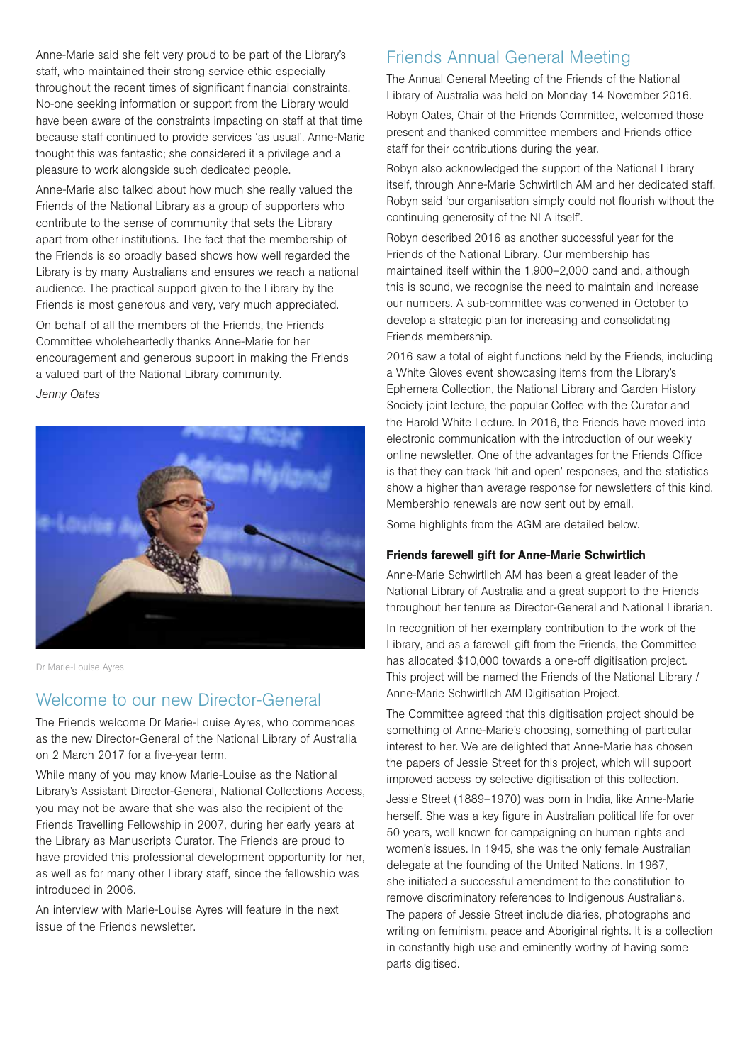Anne-Marie said she felt very proud to be part of the Library's staff, who maintained their strong service ethic especially throughout the recent times of significant financial constraints. No-one seeking information or support from the Library would have been aware of the constraints impacting on staff at that time because staff continued to provide services 'as usual'. Anne-Marie thought this was fantastic; she considered it a privilege and a pleasure to work alongside such dedicated people.

Anne-Marie also talked about how much she really valued the Friends of the National Library as a group of supporters who contribute to the sense of community that sets the Library apart from other institutions. The fact that the membership of the Friends is so broadly based shows how well regarded the Library is by many Australians and ensures we reach a national audience. The practical support given to the Library by the Friends is most generous and very, very much appreciated.

On behalf of all the members of the Friends, the Friends Committee wholeheartedly thanks Anne-Marie for her encouragement and generous support in making the Friends a valued part of the National Library community.

*Jenny Oates* 



Dr Marie-Louise Ayres

## Welcome to our new Director-General

The Friends welcome Dr Marie-Louise Ayres, who commences as the new Director-General of the National Library of Australia on 2 March 2017 for a five-year term.

While many of you may know Marie-Louise as the National Library's Assistant Director-General, National Collections Access, you may not be aware that she was also the recipient of the Friends Travelling Fellowship in 2007, during her early years at the Library as Manuscripts Curator. The Friends are proud to have provided this professional development opportunity for her, as well as for many other Library staff, since the fellowship was introduced in 2006.

An interview with Marie-Louise Ayres will feature in the next issue of the Friends newsletter.

## Friends Annual General Meeting

The Annual General Meeting of the Friends of the National Library of Australia was held on Monday 14 November 2016.

Robyn Oates, Chair of the Friends Committee, welcomed those present and thanked committee members and Friends office staff for their contributions during the year.

Robyn also acknowledged the support of the National Library itself, through Anne-Marie Schwirtlich AM and her dedicated staff. Robyn said 'our organisation simply could not flourish without the continuing generosity of the NLA itself'.

Robyn described 2016 as another successful year for the Friends of the National Library. Our membership has maintained itself within the 1,900–2,000 band and, although this is sound, we recognise the need to maintain and increase our numbers. A sub-committee was convened in October to develop a strategic plan for increasing and consolidating Friends membership.

2016 saw a total of eight functions held by the Friends, including a White Gloves event showcasing items from the Library's Ephemera Collection, the National Library and Garden History Society joint lecture, the popular Coffee with the Curator and the Harold White Lecture. In 2016, the Friends have moved into electronic communication with the introduction of our weekly online newsletter. One of the advantages for the Friends Office is that they can track 'hit and open' responses, and the statistics show a higher than average response for newsletters of this kind. Membership renewals are now sent out by email.

Some highlights from the AGM are detailed below.

#### Friends farewell gift for Anne-Marie Schwirtlich

Anne-Marie Schwirtlich AM has been a great leader of the National Library of Australia and a great support to the Friends throughout her tenure as Director-General and National Librarian. In recognition of her exemplary contribution to the work of the Library, and as a farewell gift from the Friends, the Committee has allocated \$10,000 towards a one-off digitisation project. This project will be named the Friends of the National Library / Anne-Marie Schwirtlich AM Digitisation Project.

The Committee agreed that this digitisation project should be something of Anne-Marie's choosing, something of particular interest to her. We are delighted that Anne-Marie has chosen the papers of Jessie Street for this project, which will support improved access by selective digitisation of this collection.

Jessie Street (1889–1970) was born in India, like Anne-Marie herself. She was a key figure in Australian political life for over 50 years, well known for campaigning on human rights and women's issues. In 1945, she was the only female Australian delegate at the founding of the United Nations. In 1967, she initiated a successful amendment to the constitution to remove discriminatory references to Indigenous Australians. The papers of Jessie Street include diaries, photographs and writing on feminism, peace and Aboriginal rights. It is a collection in constantly high use and eminently worthy of having some parts digitised.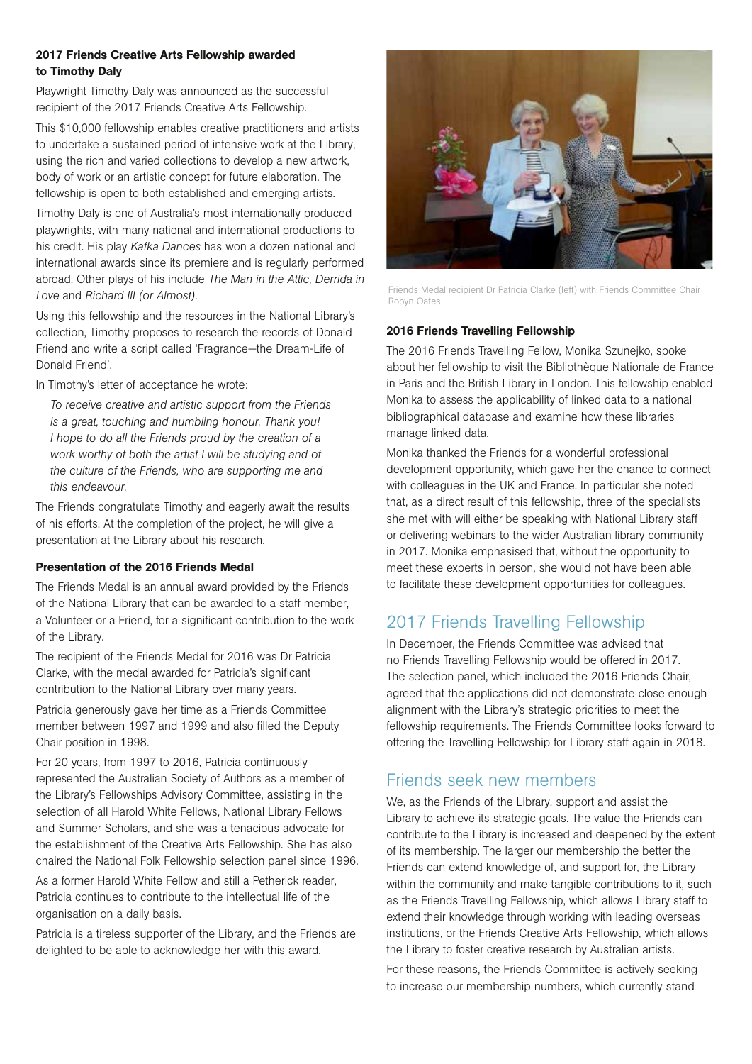#### 2017 Friends Creative Arts Fellowship awarded to Timothy Daly

Playwright Timothy Daly was announced as the successful recipient of the 2017 Friends Creative Arts Fellowship.

This \$10,000 fellowship enables creative practitioners and artists to undertake a sustained period of intensive work at the Library, using the rich and varied collections to develop a new artwork, body of work or an artistic concept for future elaboration. The fellowship is open to both established and emerging artists.

Timothy Daly is one of Australia's most internationally produced playwrights, with many national and international productions to his credit. His play *Kafka Dances* has won a dozen national and international awards since its premiere and is regularly performed abroad. Other plays of his include *The Man in the Attic*, *Derrida in Love* and *Richard III (or Almost)*.

Using this fellowship and the resources in the National Library's collection, Timothy proposes to research the records of Donald Friend and write a script called 'Fragrance—the Dream-Life of Donald Friend'.

In Timothy's letter of acceptance he wrote:

 *To receive creative and artistic support from the Friends is a great, touching and humbling honour. Thank you! I hope to do all the Friends proud by the creation of a work worthy of both the artist I will be studying and of the culture of the Friends, who are supporting me and this endeavour.*

The Friends congratulate Timothy and eagerly await the results of his efforts. At the completion of the project, he will give a presentation at the Library about his research.

#### Presentation of the 2016 Friends Medal

The Friends Medal is an annual award provided by the Friends of the National Library that can be awarded to a staff member, a Volunteer or a Friend, for a significant contribution to the work of the Library.

The recipient of the Friends Medal for 2016 was Dr Patricia Clarke, with the medal awarded for Patricia's significant contribution to the National Library over many years.

Patricia generously gave her time as a Friends Committee member between 1997 and 1999 and also filled the Deputy Chair position in 1998.

For 20 years, from 1997 to 2016, Patricia continuously represented the Australian Society of Authors as a member of the Library's Fellowships Advisory Committee, assisting in the selection of all Harold White Fellows, National Library Fellows and Summer Scholars, and she was a tenacious advocate for the establishment of the Creative Arts Fellowship. She has also chaired the National Folk Fellowship selection panel since 1996.

As a former Harold White Fellow and still a Petherick reader Patricia continues to contribute to the intellectual life of the organisation on a daily basis.

Patricia is a tireless supporter of the Library, and the Friends are delighted to be able to acknowledge her with this award.



Friends Medal recipient Dr Patricia Clarke (left) with Friends Committee Chair Robyn Oates

### 2016 Friends Travelling Fellowship

The 2016 Friends Travelling Fellow, Monika Szunejko, spoke about her fellowship to visit the Bibliothèque Nationale de France in Paris and the British Library in London. This fellowship enabled Monika to assess the applicability of linked data to a national bibliographical database and examine how these libraries manage linked data.

Monika thanked the Friends for a wonderful professional development opportunity, which gave her the chance to connect with colleagues in the UK and France. In particular she noted that, as a direct result of this fellowship, three of the specialists she met with will either be speaking with National Library staff or delivering webinars to the wider Australian library community in 2017. Monika emphasised that, without the opportunity to meet these experts in person, she would not have been able to facilitate these development opportunities for colleagues.

# 2017 Friends Travelling Fellowship

In December, the Friends Committee was advised that no Friends Travelling Fellowship would be offered in 2017. The selection panel, which included the 2016 Friends Chair, agreed that the applications did not demonstrate close enough alignment with the Library's strategic priorities to meet the fellowship requirements. The Friends Committee looks forward to offering the Travelling Fellowship for Library staff again in 2018.

# Friends seek new members

We, as the Friends of the Library, support and assist the Library to achieve its strategic goals. The value the Friends can contribute to the Library is increased and deepened by the extent of its membership. The larger our membership the better the Friends can extend knowledge of, and support for, the Library within the community and make tangible contributions to it, such as the Friends Travelling Fellowship, which allows Library staff to extend their knowledge through working with leading overseas institutions, or the Friends Creative Arts Fellowship, which allows the Library to foster creative research by Australian artists.

For these reasons, the Friends Committee is actively seeking to increase our membership numbers, which currently stand